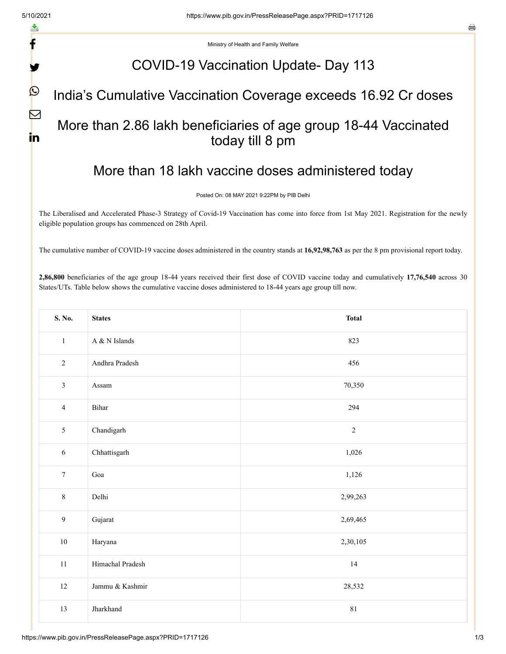f

V

 $\mathbf{\Omega}$ 

 $\nabla$ 

in

e

Ministry of Health and Family Welfare

### COVID-19 Vaccination Update- Day 113

#### India's Cumulative Vaccination Coverage exceeds 16.92 Cr doses

# More than 2.86 lakh beneficiaries of age group 18-44 Vaccinated today till 8 pm

## More than 18 lakh vaccine doses administered today

Posted On: 08 MAY 2021 9:22PM by PIB Delhi

The Liberalised and Accelerated Phase-3 Strategy of Covid-19 Vaccination has come into force from 1st May 2021. Registration for the newly eligible population groups has commenced on 28th April.

The cumulative number of COVID-19 vaccine doses administered in the country stands at **16,92,98,763** as per the 8 pm provisional report today.

**2,86,800** beneficiaries of the age group 18-44 years received their first dose of COVID vaccine today and cumulatively **17,76,540** across 30 States/UTs. Table below shows the cumulative vaccine doses administered to 18-44 years age group till now.

| S. No.           | <b>States</b>      | <b>Total</b> |  |  |  |  |  |
|------------------|--------------------|--------------|--|--|--|--|--|
| $\,1\,$          | A $\&$ N Islands   | 823          |  |  |  |  |  |
| $\overline{2}$   | Andhra Pradesh     | 456          |  |  |  |  |  |
| $\overline{3}$   | Assam              | 70,350       |  |  |  |  |  |
| $\overline{4}$   | Bihar              | 294          |  |  |  |  |  |
| 5                | Chandigarh         | $\sqrt{2}$   |  |  |  |  |  |
| $\sqrt{6}$       | Chhattisgarh       | 1,026        |  |  |  |  |  |
| $\boldsymbol{7}$ | Goa                | 1,126        |  |  |  |  |  |
| $\,8\,$          | Delhi              | 2,99,263     |  |  |  |  |  |
| $\overline{9}$   | Gujarat            | 2,69,465     |  |  |  |  |  |
| $10\,$           | Haryana            | 2,30,105     |  |  |  |  |  |
| $11\,$           | Himachal Pradesh   | $14\,$       |  |  |  |  |  |
| $12\,$           | Jammu $\&$ Kashmir | 28,532       |  |  |  |  |  |
| 13               | Jharkhand          | 81           |  |  |  |  |  |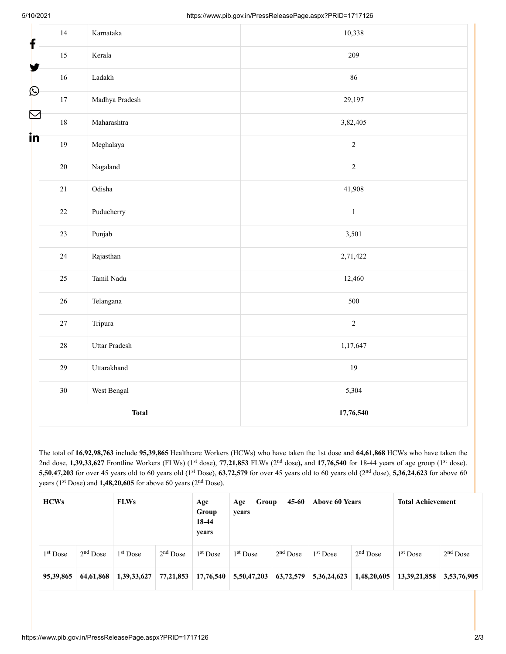| f                         | 14     | Karnataka       | 10,338                     |  |  |  |  |  |
|---------------------------|--------|-----------------|----------------------------|--|--|--|--|--|
|                           | $15\,$ | Kerala          | 209                        |  |  |  |  |  |
| У                         | 16     | Ladakh          | 86                         |  |  |  |  |  |
| $\boldsymbol{\mathsf{O}}$ | 17     | Madhya Pradesh  | 29,197                     |  |  |  |  |  |
|                           | $18\,$ | Maharashtra     | 3,82,405                   |  |  |  |  |  |
| in                        | 19     | Meghalaya       | $\sqrt{2}$                 |  |  |  |  |  |
|                           | $20\,$ | Nagaland        | $\overline{2}$             |  |  |  |  |  |
|                           | $21\,$ | Odisha          | 41,908                     |  |  |  |  |  |
|                           | $22\,$ | Puducherry      | $\,1$<br>3,501<br>2,71,422 |  |  |  |  |  |
|                           | 23     | $\mbox{Punjab}$ |                            |  |  |  |  |  |
|                           | $24\,$ | Rajasthan       |                            |  |  |  |  |  |
|                           | $25\,$ | Tamil Nadu      | 12,460<br>500              |  |  |  |  |  |
|                           | 26     | Telangana       |                            |  |  |  |  |  |
|                           | $27\,$ | Tripura         | $\overline{2}$             |  |  |  |  |  |
|                           | $28\,$ | Uttar Pradesh   | 1,17,647                   |  |  |  |  |  |
|                           | 29     | Uttarakhand     | 19                         |  |  |  |  |  |
|                           | 30     | West Bengal     | 5,304                      |  |  |  |  |  |
|                           |        | <b>Total</b>    | 17,76,540                  |  |  |  |  |  |

The total of **16,92,98,763** include **95,39,865** Healthcare Workers (HCWs) who have taken the 1st dose and **64,61,868** HCWs who have taken the 2nd dose,  $1,39,33,627$  Frontline Workers (FLWs) (1<sup>st</sup> dose), 77,21,853 FLWs (2<sup>nd</sup> dose), and 17,76,540 for 18-44 years of age group (1<sup>st</sup> dose). **5,50,47,203** for over 45 years old to 60 years old (1<sup>st</sup> Dose), **63,72,579** for over 45 years old to 60 years old (2<sup>nd</sup> dose), **5,36,24,623** for above 60 years ( $1<sup>st</sup>$  Dose) and **1,48,20,605** for above 60 years ( $2<sup>nd</sup>$  Dose).

| HCWs       |            | <b>FLWs</b> |            | Age<br>Group<br>18-44<br>years | 45-60<br>Group<br>Age<br>years |            | <b>Above 60 Years</b> |             | <b>Total Achievement</b> |             |
|------------|------------|-------------|------------|--------------------------------|--------------------------------|------------|-----------------------|-------------|--------------------------|-------------|
| $1st$ Dose | $2nd$ Dose | $1st$ Dose  | $2nd$ Dose | $1st$ Dose                     | $1st$ Dose                     | $2nd$ Dose | $1st$ Dose            | $2nd$ Dose  | $1st$ Dose               | $2nd$ Dose  |
| 95,39,865  | 64,61,868  | 1,39,33,627 | 77,21,853  | 17,76,540                      | 5,50,47,203                    | 63,72,579  | 5, 36, 24, 623        | 1,48,20,605 | 13, 39, 21, 858          | 3,53,76,905 |